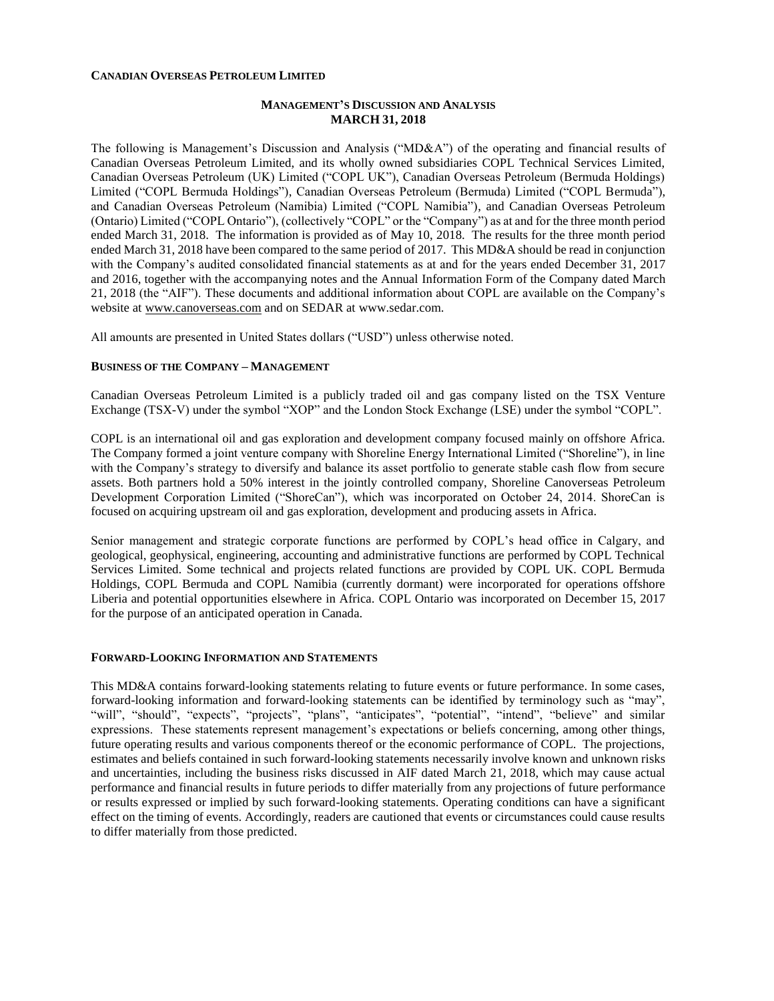#### **CANADIAN OVERSEAS PETROLEUM LIMITED**

### **MANAGEMENT'S DISCUSSION AND ANALYSIS MARCH 31, 2018**

The following is Management's Discussion and Analysis ("MD&A") of the operating and financial results of Canadian Overseas Petroleum Limited, and its wholly owned subsidiaries COPL Technical Services Limited, Canadian Overseas Petroleum (UK) Limited ("COPL UK"), Canadian Overseas Petroleum (Bermuda Holdings) Limited ("COPL Bermuda Holdings"), Canadian Overseas Petroleum (Bermuda) Limited ("COPL Bermuda"), and Canadian Overseas Petroleum (Namibia) Limited ("COPL Namibia"), and Canadian Overseas Petroleum (Ontario) Limited ("COPL Ontario"), (collectively "COPL" or the "Company") as at and for the three month period ended March 31, 2018. The information is provided as of May 10, 2018. The results for the three month period ended March 31, 2018 have been compared to the same period of 2017. This MD&A should be read in conjunction with the Company's audited consolidated financial statements as at and for the years ended December 31, 2017 and 2016, together with the accompanying notes and the Annual Information Form of the Company dated March 21, 2018 (the "AIF"). These documents and additional information about COPL are available on the Company's website at [www.canoverseas.com](http://www.canoverseas.com/) and on SEDAR at [www.sedar.com.](http://www.sedar.com/)

All amounts are presented in United States dollars ("USD") unless otherwise noted.

#### **BUSINESS OF THE COMPANY – MANAGEMENT**

Canadian Overseas Petroleum Limited is a publicly traded oil and gas company listed on the TSX Venture Exchange (TSX-V) under the symbol "XOP" and the London Stock Exchange (LSE) under the symbol "COPL".

COPL is an international oil and gas exploration and development company focused mainly on offshore Africa. The Company formed a joint venture company with Shoreline Energy International Limited ("Shoreline"), in line with the Company's strategy to diversify and balance its asset portfolio to generate stable cash flow from secure assets. Both partners hold a 50% interest in the jointly controlled company, Shoreline Canoverseas Petroleum Development Corporation Limited ("ShoreCan"), which was incorporated on October 24, 2014. ShoreCan is focused on acquiring upstream oil and gas exploration, development and producing assets in Africa.

Senior management and strategic corporate functions are performed by COPL's head office in Calgary, and geological, geophysical, engineering, accounting and administrative functions are performed by COPL Technical Services Limited. Some technical and projects related functions are provided by COPL UK. COPL Bermuda Holdings, COPL Bermuda and COPL Namibia (currently dormant) were incorporated for operations offshore Liberia and potential opportunities elsewhere in Africa. COPL Ontario was incorporated on December 15, 2017 for the purpose of an anticipated operation in Canada.

#### **FORWARD-LOOKING INFORMATION AND STATEMENTS**

This MD&A contains forward-looking statements relating to future events or future performance. In some cases, forward-looking information and forward-looking statements can be identified by terminology such as "may", "will", "should", "expects", "projects", "plans", "anticipates", "potential", "intend", "believe" and similar expressions. These statements represent management's expectations or beliefs concerning, among other things, future operating results and various components thereof or the economic performance of COPL. The projections, estimates and beliefs contained in such forward-looking statements necessarily involve known and unknown risks and uncertainties, including the business risks discussed in AIF dated March 21, 2018, which may cause actual performance and financial results in future periods to differ materially from any projections of future performance or results expressed or implied by such forward-looking statements. Operating conditions can have a significant effect on the timing of events. Accordingly, readers are cautioned that events or circumstances could cause results to differ materially from those predicted.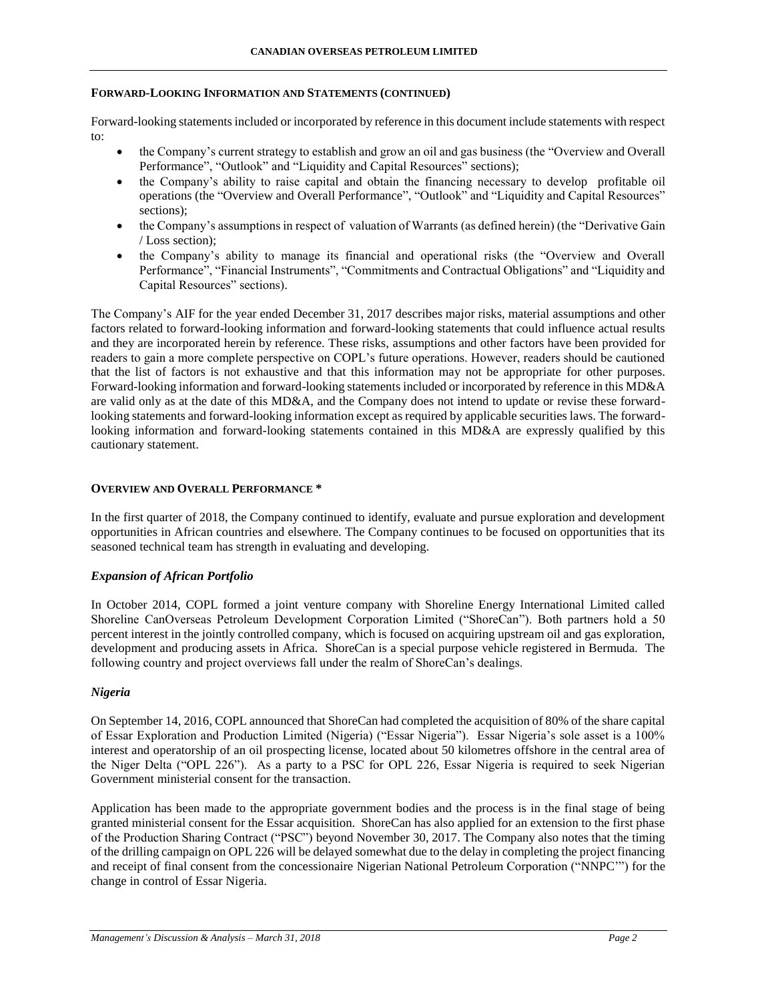### **FORWARD-LOOKING INFORMATION AND STATEMENTS (CONTINUED)**

Forward-looking statements included or incorporated by reference in this document include statements with respect to:

- the Company's current strategy to establish and grow an oil and gas business (the "Overview and Overall Performance", "Outlook" and "Liquidity and Capital Resources" sections);
- the Company's ability to raise capital and obtain the financing necessary to develop profitable oil operations (the "Overview and Overall Performance", "Outlook" and "Liquidity and Capital Resources" sections);
- the Company's assumptions in respect of valuation of Warrants (as defined herein) (the "Derivative Gain / Loss section);
- the Company's ability to manage its financial and operational risks (the "Overview and Overall Performance", "Financial Instruments", "Commitments and Contractual Obligations" and "Liquidity and Capital Resources" sections).

The Company's AIF for the year ended December 31, 2017 describes major risks, material assumptions and other factors related to forward-looking information and forward-looking statements that could influence actual results and they are incorporated herein by reference. These risks, assumptions and other factors have been provided for readers to gain a more complete perspective on COPL's future operations. However, readers should be cautioned that the list of factors is not exhaustive and that this information may not be appropriate for other purposes. Forward-looking information and forward-looking statements included or incorporated by reference in this MD&A are valid only as at the date of this MD&A, and the Company does not intend to update or revise these forwardlooking statements and forward-looking information except as required by applicable securities laws. The forwardlooking information and forward-looking statements contained in this MD&A are expressly qualified by this cautionary statement.

### **OVERVIEW AND OVERALL PERFORMANCE \***

In the first quarter of 2018, the Company continued to identify, evaluate and pursue exploration and development opportunities in African countries and elsewhere. The Company continues to be focused on opportunities that its seasoned technical team has strength in evaluating and developing.

### *Expansion of African Portfolio*

In October 2014, COPL formed a joint venture company with Shoreline Energy International Limited called Shoreline CanOverseas Petroleum Development Corporation Limited ("ShoreCan"). Both partners hold a 50 percent interest in the jointly controlled company, which is focused on acquiring upstream oil and gas exploration, development and producing assets in Africa. ShoreCan is a special purpose vehicle registered in Bermuda. The following country and project overviews fall under the realm of ShoreCan's dealings.

### *Nigeria*

On September 14, 2016, COPL announced that ShoreCan had completed the acquisition of 80% of the share capital of Essar Exploration and Production Limited (Nigeria) ("Essar Nigeria"). Essar Nigeria's sole asset is a 100% interest and operatorship of an oil prospecting license, located about 50 kilometres offshore in the central area of the Niger Delta ("OPL 226"). As a party to a PSC for OPL 226, Essar Nigeria is required to seek Nigerian Government ministerial consent for the transaction.

Application has been made to the appropriate government bodies and the process is in the final stage of being granted ministerial consent for the Essar acquisition. ShoreCan has also applied for an extension to the first phase of the Production Sharing Contract ("PSC") beyond November 30, 2017. The Company also notes that the timing of the drilling campaign on OPL 226 will be delayed somewhat due to the delay in completing the project financing and receipt of final consent from the concessionaire Nigerian National Petroleum Corporation ("NNPC'") for the change in control of Essar Nigeria.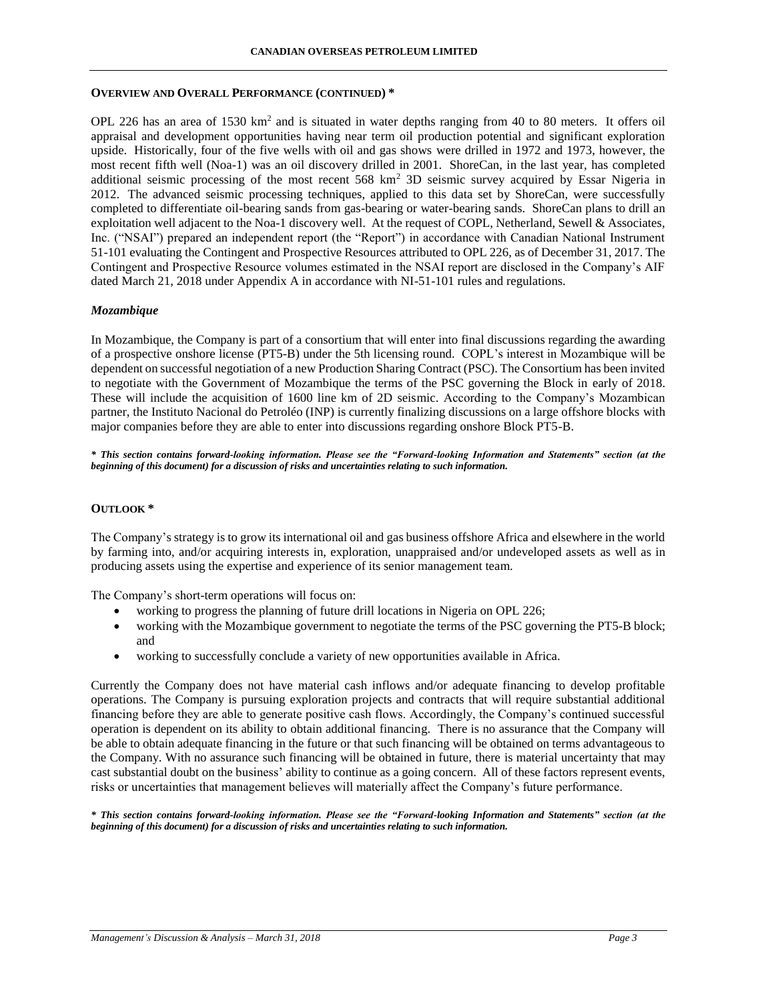#### **CANADIAN OVERSEAS PETROLEUM LIMITED**

#### **OVERVIEW AND OVERALL PERFORMANCE (CONTINUED) \***

OPL 226 has an area of 1530 km<sup>2</sup> and is situated in water depths ranging from 40 to 80 meters. It offers oil appraisal and development opportunities having near term oil production potential and significant exploration upside. Historically, four of the five wells with oil and gas shows were drilled in 1972 and 1973, however, the most recent fifth well (Noa-1) was an oil discovery drilled in 2001. ShoreCan, in the last year, has completed additional seismic processing of the most recent 568 km<sup>2</sup> 3D seismic survey acquired by Essar Nigeria in 2012. The advanced seismic processing techniques, applied to this data set by ShoreCan, were successfully completed to differentiate oil-bearing sands from gas-bearing or water-bearing sands. ShoreCan plans to drill an exploitation well adjacent to the Noa-1 discovery well. At the request of COPL, Netherland, Sewell & Associates, Inc. ("NSAI") prepared an independent report (the "Report") in accordance with Canadian National Instrument 51-101 evaluating the Contingent and Prospective Resources attributed to OPL 226, as of December 31, 2017. The Contingent and Prospective Resource volumes estimated in the NSAI report are disclosed in the Company's AIF dated March 21, 2018 under Appendix A in accordance with NI-51-101 rules and regulations.

## *Mozambique*

In Mozambique, the Company is part of a consortium that will enter into final discussions regarding the awarding of a prospective onshore license (PT5-B) under the 5th licensing round. COPL's interest in Mozambique will be dependent on successful negotiation of a new Production Sharing Contract (PSC). The Consortium has been invited to negotiate with the Government of Mozambique the terms of the PSC governing the Block in early of 2018. These will include the acquisition of 1600 line km of 2D seismic. According to the Company's Mozambican partner, the Instituto Nacional do Petroléo (INP) is currently finalizing discussions on a large offshore blocks with major companies before they are able to enter into discussions regarding onshore Block PT5-B.

*\* This section contains forward-looking information. Please see the "Forward-looking Information and Statements" section (at the beginning of this document) for a discussion of risks and uncertainties relating to such information.*

### **OUTLOOK \***

The Company's strategy is to grow its international oil and gas business offshore Africa and elsewhere in the world by farming into, and/or acquiring interests in, exploration, unappraised and/or undeveloped assets as well as in producing assets using the expertise and experience of its senior management team.

The Company's short-term operations will focus on:

- working to progress the planning of future drill locations in Nigeria on OPL 226;
- working with the Mozambique government to negotiate the terms of the PSC governing the PT5-B block; and
- working to successfully conclude a variety of new opportunities available in Africa.

Currently the Company does not have material cash inflows and/or adequate financing to develop profitable operations. The Company is pursuing exploration projects and contracts that will require substantial additional financing before they are able to generate positive cash flows. Accordingly, the Company's continued successful operation is dependent on its ability to obtain additional financing. There is no assurance that the Company will be able to obtain adequate financing in the future or that such financing will be obtained on terms advantageous to the Company. With no assurance such financing will be obtained in future, there is material uncertainty that may cast substantial doubt on the business' ability to continue as a going concern. All of these factors represent events, risks or uncertainties that management believes will materially affect the Company's future performance.

*\* This section contains forward-looking information. Please see the "Forward-looking Information and Statements" section (at the beginning of this document) for a discussion of risks and uncertainties relating to such information.*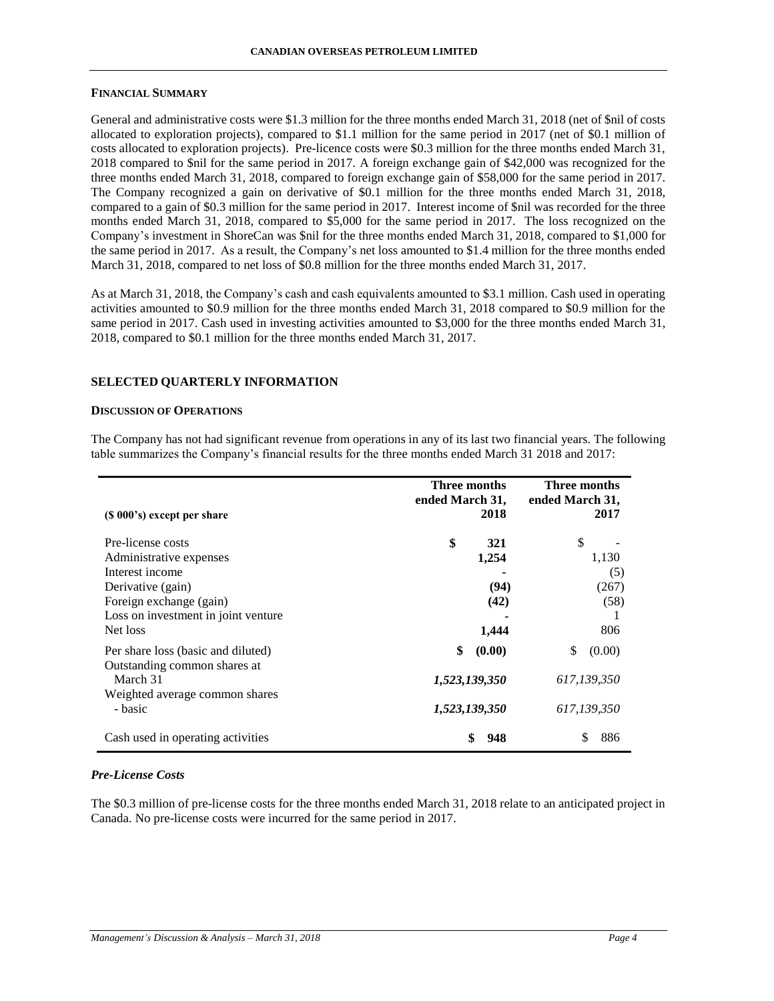#### **FINANCIAL SUMMARY**

General and administrative costs were \$1.3 million for the three months ended March 31, 2018 (net of \$nil of costs allocated to exploration projects), compared to \$1.1 million for the same period in 2017 (net of \$0.1 million of costs allocated to exploration projects). Pre-licence costs were \$0.3 million for the three months ended March 31, 2018 compared to \$nil for the same period in 2017. A foreign exchange gain of \$42,000 was recognized for the three months ended March 31, 2018, compared to foreign exchange gain of \$58,000 for the same period in 2017. The Company recognized a gain on derivative of \$0.1 million for the three months ended March 31, 2018, compared to a gain of \$0.3 million for the same period in 2017. Interest income of \$nil was recorded for the three months ended March 31, 2018, compared to \$5,000 for the same period in 2017. The loss recognized on the Company's investment in ShoreCan was \$nil for the three months ended March 31, 2018, compared to \$1,000 for the same period in 2017. As a result, the Company's net loss amounted to \$1.4 million for the three months ended March 31, 2018, compared to net loss of \$0.8 million for the three months ended March 31, 2017.

As at March 31, 2018, the Company's cash and cash equivalents amounted to \$3.1 million. Cash used in operating activities amounted to \$0.9 million for the three months ended March 31, 2018 compared to \$0.9 million for the same period in 2017. Cash used in investing activities amounted to \$3,000 for the three months ended March 31, 2018, compared to \$0.1 million for the three months ended March 31, 2017.

### **SELECTED QUARTERLY INFORMATION**

### **DISCUSSION OF OPERATIONS**

The Company has not had significant revenue from operations in any of its last two financial years. The following table summarizes the Company's financial results for the three months ended March 31 2018 and 2017:

|                                                                    | Three months<br>ended March 31, | Three months<br>ended March 31, |  |  |
|--------------------------------------------------------------------|---------------------------------|---------------------------------|--|--|
| $(S 000's)$ except per share                                       | 2018                            | 2017                            |  |  |
| Pre-license costs                                                  | \$<br>321                       | \$                              |  |  |
| Administrative expenses<br>Interest income                         | 1,254                           | 1,130<br>(5)                    |  |  |
| Derivative (gain)<br>Foreign exchange (gain)                       | (94)<br>(42)                    | (267)<br>(58)                   |  |  |
| Loss on investment in joint venture<br>Net loss                    | 1,444                           | 806                             |  |  |
| Per share loss (basic and diluted)<br>Outstanding common shares at | \$<br>(0.00)                    | \$<br>(0.00)                    |  |  |
| March 31<br>Weighted average common shares                         | 1,523,139,350                   | 617,139,350                     |  |  |
| - basic                                                            | 1,523,139,350                   | 617,139,350                     |  |  |
| Cash used in operating activities                                  | 948                             | 886                             |  |  |

### *Pre-License Costs*

The \$0.3 million of pre-license costs for the three months ended March 31, 2018 relate to an anticipated project in Canada. No pre-license costs were incurred for the same period in 2017.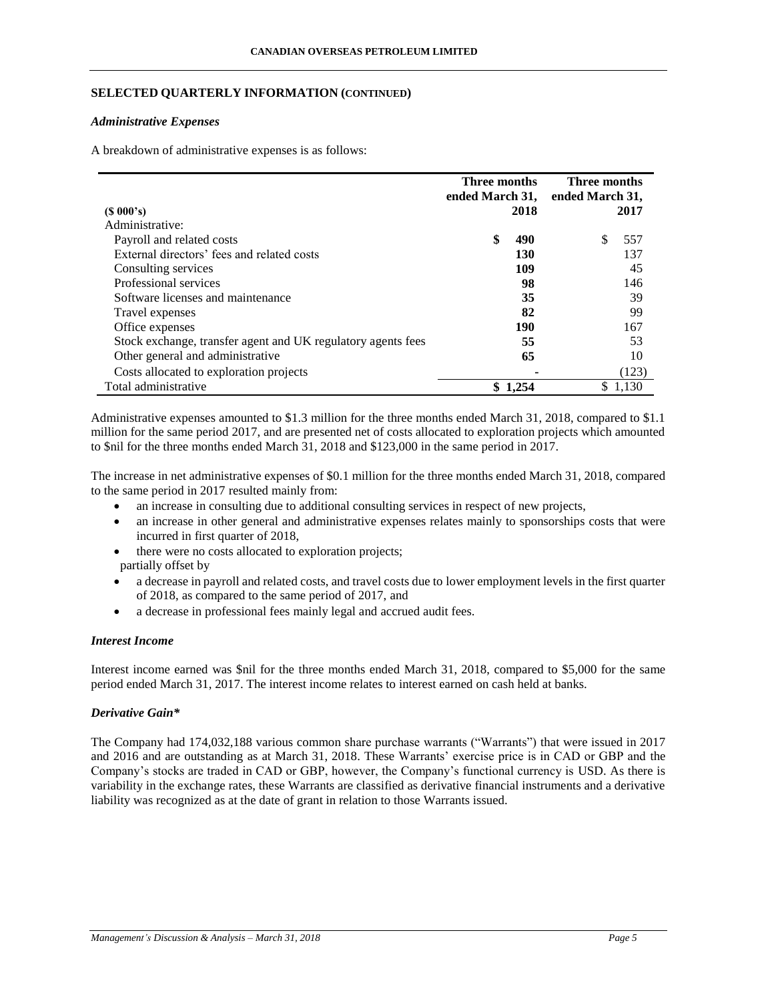## **SELECTED QUARTERLY INFORMATION (CONTINUED)**

### *Administrative Expenses*

A breakdown of administrative expenses is as follows:

|                                                              | Three months<br>ended March 31, |            | Three months<br>ended March 31, |       |
|--------------------------------------------------------------|---------------------------------|------------|---------------------------------|-------|
| $(S\ 000's)$                                                 |                                 | 2018       |                                 | 2017  |
| Administrative:                                              |                                 |            |                                 |       |
| Payroll and related costs                                    | \$                              | 490        | \$.                             | 557   |
| External directors' fees and related costs                   |                                 | <b>130</b> |                                 | 137   |
| Consulting services                                          |                                 | 109        |                                 | 45    |
| Professional services                                        |                                 | 98         |                                 | 146   |
| Software licenses and maintenance                            |                                 | 35         |                                 | 39    |
| Travel expenses                                              |                                 | 82         |                                 | 99    |
| Office expenses                                              |                                 | 190        |                                 | 167   |
| Stock exchange, transfer agent and UK regulatory agents fees |                                 | 55         |                                 | 53    |
| Other general and administrative                             |                                 | 65         |                                 | 10    |
| Costs allocated to exploration projects                      |                                 |            |                                 | (123) |
| Total administrative                                         | S                               | 1.254      | S.                              | 1.130 |

Administrative expenses amounted to \$1.3 million for the three months ended March 31, 2018, compared to \$1.1 million for the same period 2017, and are presented net of costs allocated to exploration projects which amounted to \$nil for the three months ended March 31, 2018 and \$123,000 in the same period in 2017.

The increase in net administrative expenses of \$0.1 million for the three months ended March 31, 2018, compared to the same period in 2017 resulted mainly from:

- an increase in consulting due to additional consulting services in respect of new projects,
- an increase in other general and administrative expenses relates mainly to sponsorships costs that were incurred in first quarter of 2018,
- there were no costs allocated to exploration projects; partially offset by
- a decrease in payroll and related costs, and travel costs due to lower employment levels in the first quarter of 2018, as compared to the same period of 2017, and
- a decrease in professional fees mainly legal and accrued audit fees.

## *Interest Income*

Interest income earned was \$nil for the three months ended March 31, 2018, compared to \$5,000 for the same period ended March 31, 2017. The interest income relates to interest earned on cash held at banks.

## *Derivative Gain\**

The Company had 174,032,188 various common share purchase warrants ("Warrants") that were issued in 2017 and 2016 and are outstanding as at March 31, 2018. These Warrants' exercise price is in CAD or GBP and the Company's stocks are traded in CAD or GBP, however, the Company's functional currency is USD. As there is variability in the exchange rates, these Warrants are classified as derivative financial instruments and a derivative liability was recognized as at the date of grant in relation to those Warrants issued.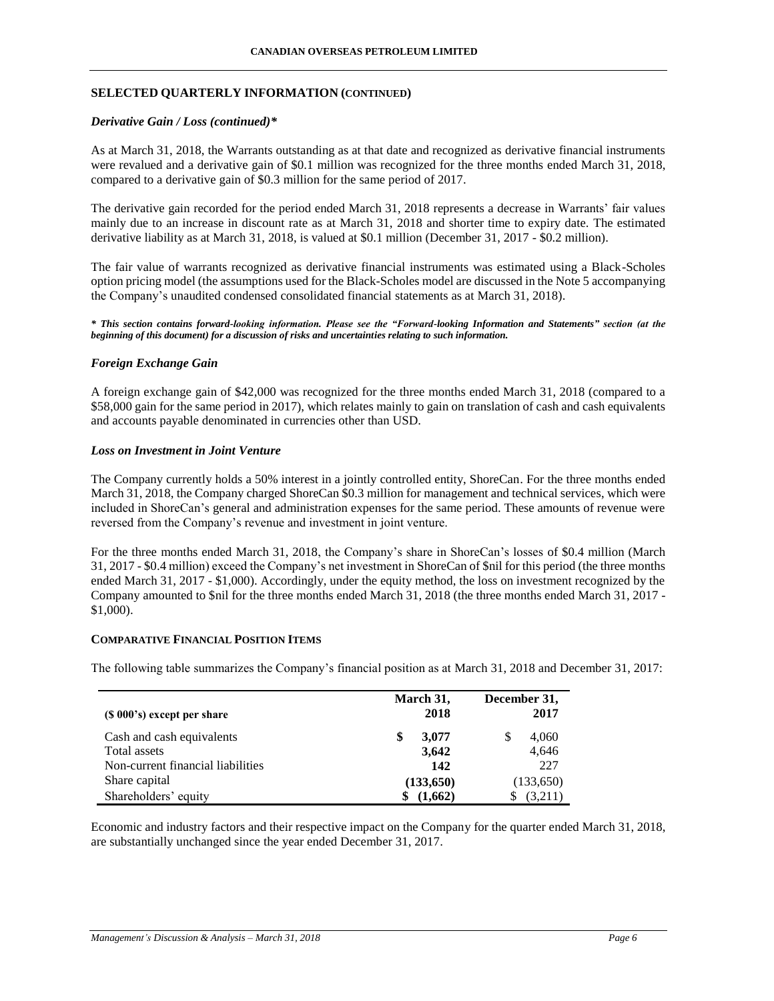## **SELECTED QUARTERLY INFORMATION (CONTINUED)**

### *Derivative Gain / Loss (continued)\**

As at March 31, 2018, the Warrants outstanding as at that date and recognized as derivative financial instruments were revalued and a derivative gain of \$0.1 million was recognized for the three months ended March 31, 2018, compared to a derivative gain of \$0.3 million for the same period of 2017.

The derivative gain recorded for the period ended March 31, 2018 represents a decrease in Warrants' fair values mainly due to an increase in discount rate as at March 31, 2018 and shorter time to expiry date. The estimated derivative liability as at March 31, 2018, is valued at \$0.1 million (December 31, 2017 - \$0.2 million).

The fair value of warrants recognized as derivative financial instruments was estimated using a Black-Scholes option pricing model (the assumptions used for the Black-Scholes model are discussed in the Note 5 accompanying the Company's unaudited condensed consolidated financial statements as at March 31, 2018).

*\* This section contains forward-looking information. Please see the "Forward-looking Information and Statements" section (at the beginning of this document) for a discussion of risks and uncertainties relating to such information.*

## *Foreign Exchange Gain*

A foreign exchange gain of \$42,000 was recognized for the three months ended March 31, 2018 (compared to a \$58,000 gain for the same period in 2017), which relates mainly to gain on translation of cash and cash equivalents and accounts payable denominated in currencies other than USD.

### *Loss on Investment in Joint Venture*

The Company currently holds a 50% interest in a jointly controlled entity, ShoreCan. For the three months ended March 31, 2018, the Company charged ShoreCan \$0.3 million for management and technical services, which were included in ShoreCan's general and administration expenses for the same period. These amounts of revenue were reversed from the Company's revenue and investment in joint venture.

For the three months ended March 31, 2018, the Company's share in ShoreCan's losses of \$0.4 million (March 31, 2017 - \$0.4 million) exceed the Company's net investment in ShoreCan of \$nil for this period (the three months ended March 31, 2017 - \$1,000). Accordingly, under the equity method, the loss on investment recognized by the Company amounted to \$nil for the three months ended March 31, 2018 (the three months ended March 31, 2017 - \$1,000).

### **COMPARATIVE FINANCIAL POSITION ITEMS**

The following table summarizes the Company's financial position as at March 31, 2018 and December 31, 2017:

| $(S 000's)$ except per share      | March 31,<br>2018 | December 31,<br>2017 |  |
|-----------------------------------|-------------------|----------------------|--|
| Cash and cash equivalents         | 3,077<br>\$       | 4,060<br>S           |  |
| Total assets                      | 3,642             | 4,646                |  |
| Non-current financial liabilities | 142               | 227                  |  |
| Share capital                     | (133, 650)        | (133,650)            |  |
| Shareholders' equity              | (1,662)           | (3,211)              |  |

Economic and industry factors and their respective impact on the Company for the quarter ended March 31, 2018, are substantially unchanged since the year ended December 31, 2017.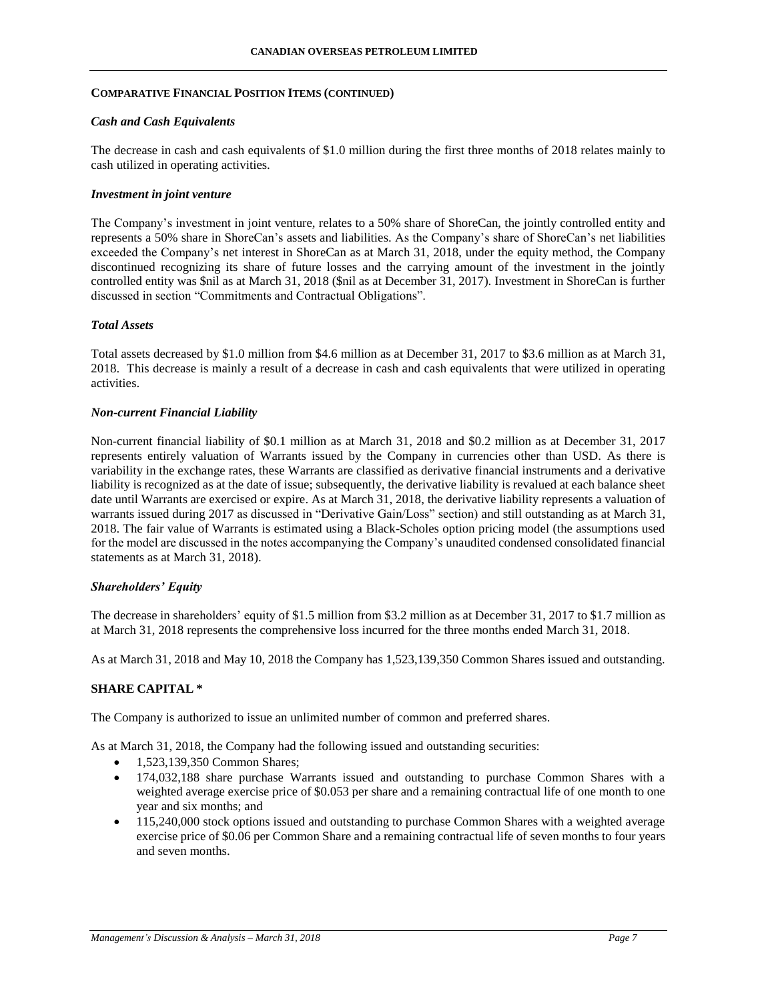## **COMPARATIVE FINANCIAL POSITION ITEMS (CONTINUED)**

### *Cash and Cash Equivalents*

The decrease in cash and cash equivalents of \$1.0 million during the first three months of 2018 relates mainly to cash utilized in operating activities.

## *Investment in joint venture*

The Company's investment in joint venture, relates to a 50% share of ShoreCan, the jointly controlled entity and represents a 50% share in ShoreCan's assets and liabilities. As the Company's share of ShoreCan's net liabilities exceeded the Company's net interest in ShoreCan as at March 31, 2018, under the equity method, the Company discontinued recognizing its share of future losses and the carrying amount of the investment in the jointly controlled entity was \$nil as at March 31, 2018 (\$nil as at December 31, 2017). Investment in ShoreCan is further discussed in section "Commitments and Contractual Obligations".

### *Total Assets*

Total assets decreased by \$1.0 million from \$4.6 million as at December 31, 2017 to \$3.6 million as at March 31, 2018. This decrease is mainly a result of a decrease in cash and cash equivalents that were utilized in operating activities.

## *Non-current Financial Liability*

Non-current financial liability of \$0.1 million as at March 31, 2018 and \$0.2 million as at December 31, 2017 represents entirely valuation of Warrants issued by the Company in currencies other than USD. As there is variability in the exchange rates, these Warrants are classified as derivative financial instruments and a derivative liability is recognized as at the date of issue; subsequently, the derivative liability is revalued at each balance sheet date until Warrants are exercised or expire. As at March 31, 2018, the derivative liability represents a valuation of warrants issued during 2017 as discussed in "Derivative Gain/Loss" section) and still outstanding as at March 31, 2018. The fair value of Warrants is estimated using a Black-Scholes option pricing model (the assumptions used for the model are discussed in the notes accompanying the Company's unaudited condensed consolidated financial statements as at March 31, 2018).

### *Shareholders' Equity*

The decrease in shareholders' equity of \$1.5 million from \$3.2 million as at December 31, 2017 to \$1.7 million as at March 31, 2018 represents the comprehensive loss incurred for the three months ended March 31, 2018.

As at March 31, 2018 and May 10, 2018 the Company has 1,523,139,350 Common Shares issued and outstanding.

## **SHARE CAPITAL \***

The Company is authorized to issue an unlimited number of common and preferred shares.

As at March 31, 2018, the Company had the following issued and outstanding securities:

- 1,523,139,350 Common Shares;
- 174,032,188 share purchase Warrants issued and outstanding to purchase Common Shares with a weighted average exercise price of \$0.053 per share and a remaining contractual life of one month to one year and six months; and
- 115,240,000 stock options issued and outstanding to purchase Common Shares with a weighted average exercise price of \$0.06 per Common Share and a remaining contractual life of seven months to four years and seven months.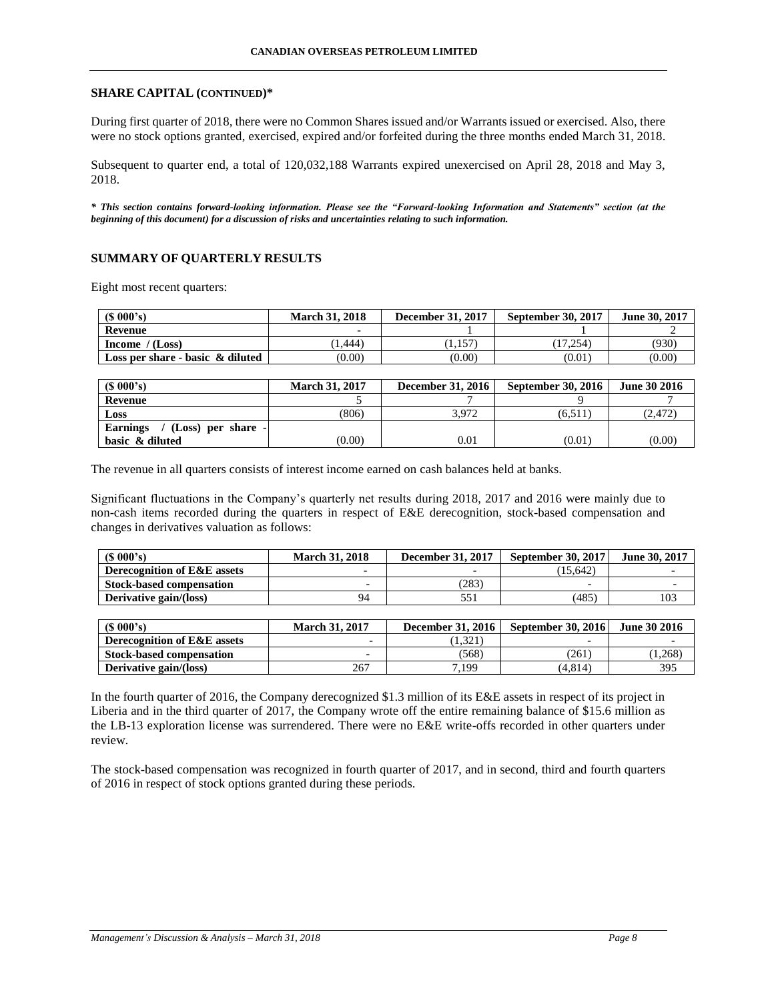### **SHARE CAPITAL (CONTINUED)\***

During first quarter of 2018, there were no Common Shares issued and/or Warrants issued or exercised. Also, there were no stock options granted, exercised, expired and/or forfeited during the three months ended March 31, 2018.

Subsequent to quarter end, a total of 120,032,188 Warrants expired unexercised on April 28, 2018 and May 3, 2018.

*\* This section contains forward-looking information. Please see the "Forward-looking Information and Statements" section (at the beginning of this document) for a discussion of risks and uncertainties relating to such information.*

## **SUMMARY OF QUARTERLY RESULTS**

Eight most recent quarters:

| $(S\ 000's)$                        | <b>March 31, 2018</b> | <b>December 31, 2017</b> | <b>September 30, 2017</b> | June 30, 2017 |
|-------------------------------------|-----------------------|--------------------------|---------------------------|---------------|
| Revenue                             |                       |                          |                           |               |
| Income $/(Loss)$                    | 1.444                 | 1,157                    | 17.254                    | (930)         |
| Loss per share - basic $\&$ diluted | (0.00)                | (0.00)                   | (0.01)                    | (0.00)        |

| $(S\ 000's)$                          | <b>March 31, 2017</b> | <b>December 31, 2016</b> | <b>September 30, 2016</b> | <b>June 30 2016</b> |
|---------------------------------------|-----------------------|--------------------------|---------------------------|---------------------|
| Revenue                               |                       |                          |                           |                     |
| Loss                                  | (806)                 | 3.972                    | (6.511)                   | (2, 472)            |
| <b>Earnings</b><br>(Loss) per share - |                       |                          |                           |                     |
| basic & diluted                       | (0.00)                | 0.01                     | (0.01)                    | (0.00)              |

The revenue in all quarters consists of interest income earned on cash balances held at banks.

Significant fluctuations in the Company's quarterly net results during 2018, 2017 and 2016 were mainly due to non-cash items recorded during the quarters in respect of E&E derecognition, stock-based compensation and changes in derivatives valuation as follows:

| (S 000's)                              | <b>March 31, 2018</b> | <b>December 31, 2017</b> | <b>September 30, 2017</b> | June 30, 2017 |
|----------------------------------------|-----------------------|--------------------------|---------------------------|---------------|
| <b>Derecognition of E&amp;E assets</b> |                       |                          | (15.642)                  |               |
| <b>Stock-based compensation</b>        |                       | (283)                    |                           |               |
| Derivative gain/(loss)                 | 94                    | 551                      | (485)                     | 103           |

| $(S\ 000's)$                    | <b>March 31, 2017</b>    | <b>December 31, 2016</b> | <b>September 30, 2016</b> | June 30 2016 |
|---------------------------------|--------------------------|--------------------------|---------------------------|--------------|
| Derecognition of E&E assets     | $\overline{\phantom{0}}$ | 1.321                    | -                         |              |
| <b>Stock-based compensation</b> |                          | (568)                    | '261                      | 0.268        |
| Derivative gain/(loss)          | 267                      | 7.199                    | (4.814)                   | 395          |

In the fourth quarter of 2016, the Company derecognized \$1.3 million of its E&E assets in respect of its project in Liberia and in the third quarter of 2017, the Company wrote off the entire remaining balance of \$15.6 million as the LB-13 exploration license was surrendered. There were no E&E write-offs recorded in other quarters under review.

The stock-based compensation was recognized in fourth quarter of 2017, and in second, third and fourth quarters of 2016 in respect of stock options granted during these periods.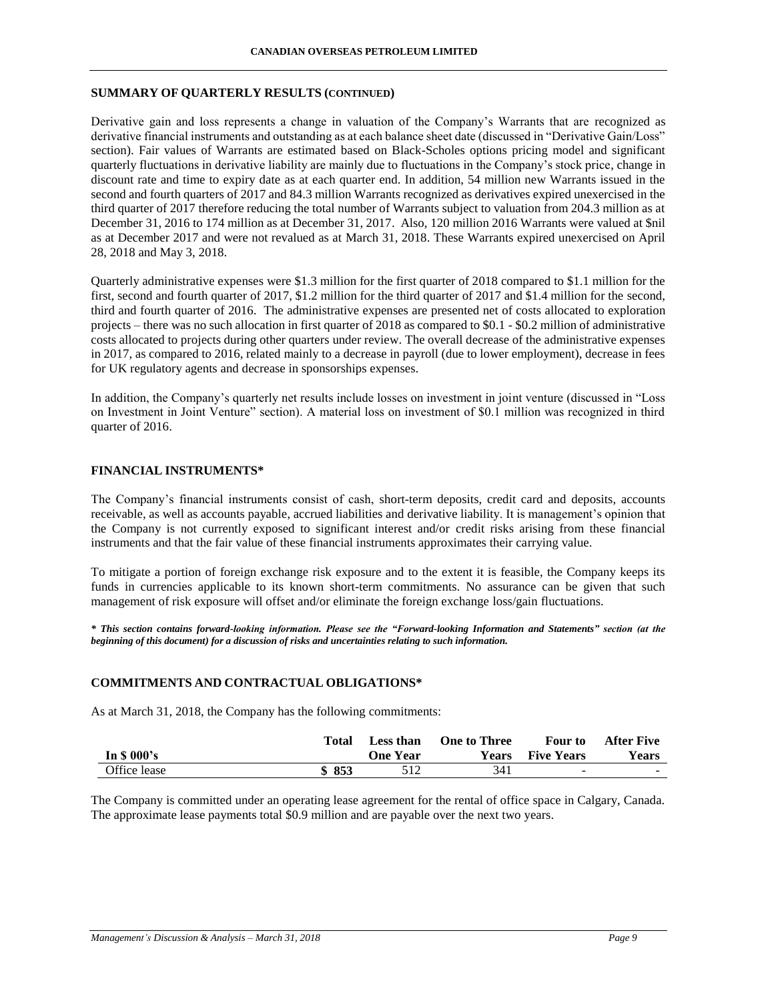#### **SUMMARY OF QUARTERLY RESULTS (CONTINUED)**

Derivative gain and loss represents a change in valuation of the Company's Warrants that are recognized as derivative financial instruments and outstanding as at each balance sheet date (discussed in "Derivative Gain/Loss" section). Fair values of Warrants are estimated based on Black-Scholes options pricing model and significant quarterly fluctuations in derivative liability are mainly due to fluctuations in the Company's stock price, change in discount rate and time to expiry date as at each quarter end. In addition, 54 million new Warrants issued in the second and fourth quarters of 2017 and 84.3 million Warrants recognized as derivatives expired unexercised in the third quarter of 2017 therefore reducing the total number of Warrants subject to valuation from 204.3 million as at December 31, 2016 to 174 million as at December 31, 2017. Also, 120 million 2016 Warrants were valued at \$nil as at December 2017 and were not revalued as at March 31, 2018. These Warrants expired unexercised on April 28, 2018 and May 3, 2018.

Quarterly administrative expenses were \$1.3 million for the first quarter of 2018 compared to \$1.1 million for the first, second and fourth quarter of 2017, \$1.2 million for the third quarter of 2017 and \$1.4 million for the second, third and fourth quarter of 2016. The administrative expenses are presented net of costs allocated to exploration projects – there was no such allocation in first quarter of 2018 as compared to \$0.1 - \$0.2 million of administrative costs allocated to projects during other quarters under review. The overall decrease of the administrative expenses in 2017, as compared to 2016, related mainly to a decrease in payroll (due to lower employment), decrease in fees for UK regulatory agents and decrease in sponsorships expenses.

In addition, the Company's quarterly net results include losses on investment in joint venture (discussed in "Loss on Investment in Joint Venture" section). A material loss on investment of \$0.1 million was recognized in third quarter of 2016.

#### **FINANCIAL INSTRUMENTS\***

The Company's financial instruments consist of cash, short-term deposits, credit card and deposits, accounts receivable, as well as accounts payable, accrued liabilities and derivative liability. It is management's opinion that the Company is not currently exposed to significant interest and/or credit risks arising from these financial instruments and that the fair value of these financial instruments approximates their carrying value.

To mitigate a portion of foreign exchange risk exposure and to the extent it is feasible, the Company keeps its funds in currencies applicable to its known short-term commitments. No assurance can be given that such management of risk exposure will offset and/or eliminate the foreign exchange loss/gain fluctuations.

*\* This section contains forward-looking information. Please see the "Forward-looking Information and Statements" section (at the beginning of this document) for a discussion of risks and uncertainties relating to such information.*

#### **COMMITMENTS AND CONTRACTUAL OBLIGATIONS\***

As at March 31, 2018, the Company has the following commitments:

|              | Total | <b>Less than</b> | <b>One to Three</b> | Four to           | <b>After Five</b> |
|--------------|-------|------------------|---------------------|-------------------|-------------------|
| In \$ 000's  |       | <b>One Year</b>  | Years               | <b>Five Years</b> | <b>Years</b>      |
| Office lease | \$853 | 512              | 341                 | <u>. на с</u>     | <b>COL</b>        |

The Company is committed under an operating lease agreement for the rental of office space in Calgary, Canada. The approximate lease payments total \$0.9 million and are payable over the next two years.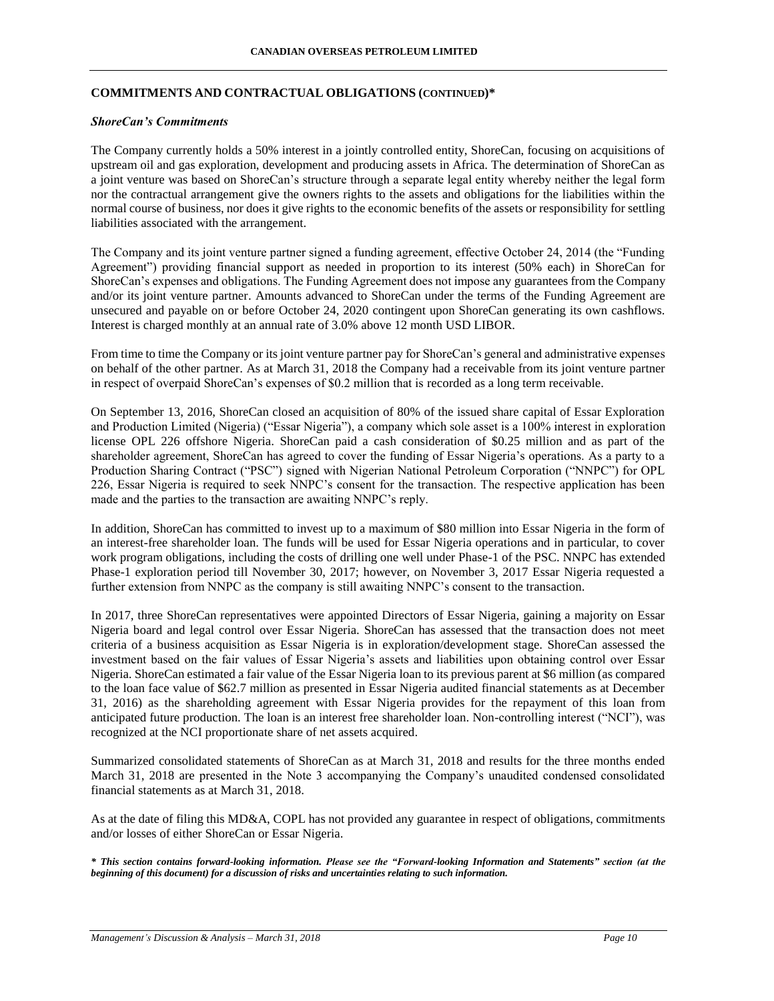## **COMMITMENTS AND CONTRACTUAL OBLIGATIONS (CONTINUED)\***

### *ShoreCan's Commitments*

The Company currently holds a 50% interest in a jointly controlled entity, ShoreCan, focusing on acquisitions of upstream oil and gas exploration, development and producing assets in Africa. The determination of ShoreCan as a joint venture was based on ShoreCan's structure through a separate legal entity whereby neither the legal form nor the contractual arrangement give the owners rights to the assets and obligations for the liabilities within the normal course of business, nor does it give rights to the economic benefits of the assets or responsibility for settling liabilities associated with the arrangement.

The Company and its joint venture partner signed a funding agreement, effective October 24, 2014 (the "Funding Agreement") providing financial support as needed in proportion to its interest (50% each) in ShoreCan for ShoreCan's expenses and obligations. The Funding Agreement does not impose any guarantees from the Company and/or its joint venture partner. Amounts advanced to ShoreCan under the terms of the Funding Agreement are unsecured and payable on or before October 24, 2020 contingent upon ShoreCan generating its own cashflows. Interest is charged monthly at an annual rate of 3.0% above 12 month USD LIBOR.

From time to time the Company or its joint venture partner pay for ShoreCan's general and administrative expenses on behalf of the other partner. As at March 31, 2018 the Company had a receivable from its joint venture partner in respect of overpaid ShoreCan's expenses of \$0.2 million that is recorded as a long term receivable.

On September 13, 2016, ShoreCan closed an acquisition of 80% of the issued share capital of Essar Exploration and Production Limited (Nigeria) ("Essar Nigeria"), a company which sole asset is a 100% interest in exploration license OPL 226 offshore Nigeria. ShoreCan paid a cash consideration of \$0.25 million and as part of the shareholder agreement, ShoreCan has agreed to cover the funding of Essar Nigeria's operations. As a party to a Production Sharing Contract ("PSC") signed with Nigerian National Petroleum Corporation ("NNPC") for OPL 226, Essar Nigeria is required to seek NNPC's consent for the transaction. The respective application has been made and the parties to the transaction are awaiting NNPC's reply.

In addition, ShoreCan has committed to invest up to a maximum of \$80 million into Essar Nigeria in the form of an interest-free shareholder loan. The funds will be used for Essar Nigeria operations and in particular, to cover work program obligations, including the costs of drilling one well under Phase-1 of the PSC. NNPC has extended Phase-1 exploration period till November 30, 2017; however, on November 3, 2017 Essar Nigeria requested a further extension from NNPC as the company is still awaiting NNPC's consent to the transaction.

In 2017, three ShoreCan representatives were appointed Directors of Essar Nigeria, gaining a majority on Essar Nigeria board and legal control over Essar Nigeria. ShoreCan has assessed that the transaction does not meet criteria of a business acquisition as Essar Nigeria is in exploration/development stage. ShoreCan assessed the investment based on the fair values of Essar Nigeria's assets and liabilities upon obtaining control over Essar Nigeria. ShoreCan estimated a fair value of the Essar Nigeria loan to its previous parent at \$6 million (as compared to the loan face value of \$62.7 million as presented in Essar Nigeria audited financial statements as at December 31, 2016) as the shareholding agreement with Essar Nigeria provides for the repayment of this loan from anticipated future production. The loan is an interest free shareholder loan. Non-controlling interest ("NCI"), was recognized at the NCI proportionate share of net assets acquired.

Summarized consolidated statements of ShoreCan as at March 31, 2018 and results for the three months ended March 31, 2018 are presented in the Note 3 accompanying the Company's unaudited condensed consolidated financial statements as at March 31, 2018.

As at the date of filing this MD&A, COPL has not provided any guarantee in respect of obligations, commitments and/or losses of either ShoreCan or Essar Nigeria.

*\* This section contains forward-looking information. Please see the "Forward-looking Information and Statements" section (at the beginning of this document) for a discussion of risks and uncertainties relating to such information.*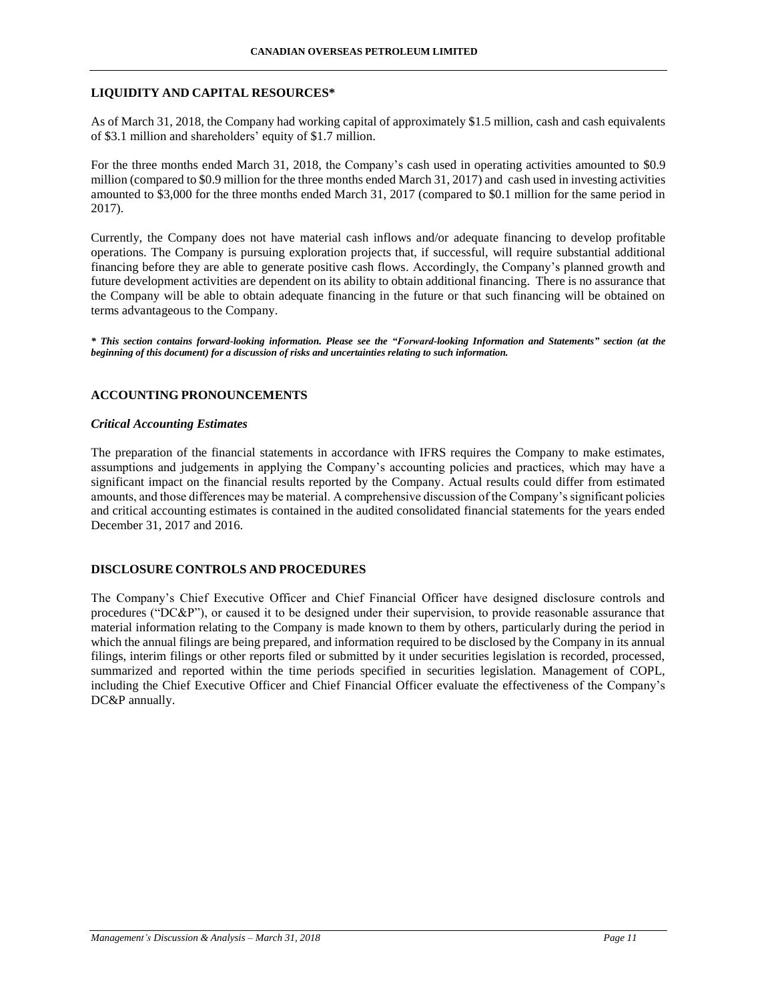### **LIQUIDITY AND CAPITAL RESOURCES\***

As of March 31, 2018, the Company had working capital of approximately \$1.5 million, cash and cash equivalents of \$3.1 million and shareholders' equity of \$1.7 million.

For the three months ended March 31, 2018, the Company's cash used in operating activities amounted to \$0.9 million (compared to \$0.9 million for the three months ended March 31, 2017) and cash used in investing activities amounted to \$3,000 for the three months ended March 31, 2017 (compared to \$0.1 million for the same period in 2017).

Currently, the Company does not have material cash inflows and/or adequate financing to develop profitable operations. The Company is pursuing exploration projects that, if successful, will require substantial additional financing before they are able to generate positive cash flows. Accordingly, the Company's planned growth and future development activities are dependent on its ability to obtain additional financing. There is no assurance that the Company will be able to obtain adequate financing in the future or that such financing will be obtained on terms advantageous to the Company.

*\* This section contains forward-looking information. Please see the "Forward-looking Information and Statements" section (at the beginning of this document) for a discussion of risks and uncertainties relating to such information.*

## **ACCOUNTING PRONOUNCEMENTS**

### *Critical Accounting Estimates*

The preparation of the financial statements in accordance with IFRS requires the Company to make estimates, assumptions and judgements in applying the Company's accounting policies and practices, which may have a significant impact on the financial results reported by the Company. Actual results could differ from estimated amounts, and those differences may be material. A comprehensive discussion of the Company's significant policies and critical accounting estimates is contained in the audited consolidated financial statements for the years ended December 31, 2017 and 2016.

### **DISCLOSURE CONTROLS AND PROCEDURES**

The Company's Chief Executive Officer and Chief Financial Officer have designed disclosure controls and procedures ("DC&P"), or caused it to be designed under their supervision, to provide reasonable assurance that material information relating to the Company is made known to them by others, particularly during the period in which the annual filings are being prepared, and information required to be disclosed by the Company in its annual filings, interim filings or other reports filed or submitted by it under securities legislation is recorded, processed, summarized and reported within the time periods specified in securities legislation. Management of COPL, including the Chief Executive Officer and Chief Financial Officer evaluate the effectiveness of the Company's DC&P annually.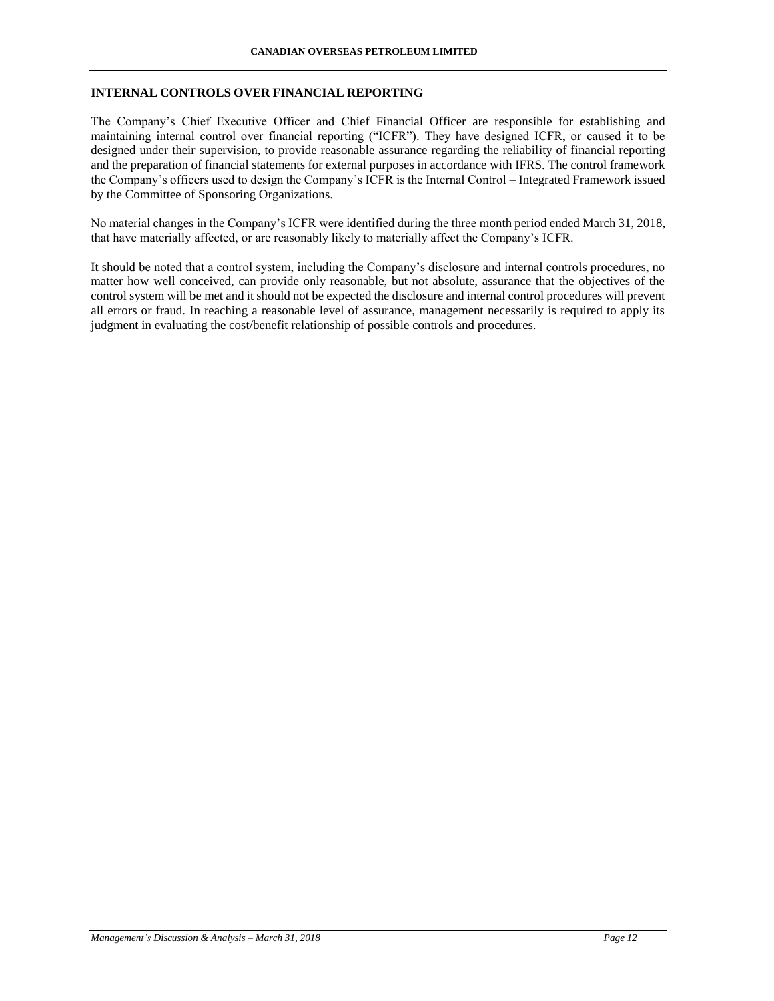## **INTERNAL CONTROLS OVER FINANCIAL REPORTING**

The Company's Chief Executive Officer and Chief Financial Officer are responsible for establishing and maintaining internal control over financial reporting ("ICFR"). They have designed ICFR, or caused it to be designed under their supervision, to provide reasonable assurance regarding the reliability of financial reporting and the preparation of financial statements for external purposes in accordance with IFRS. The control framework the Company's officers used to design the Company's ICFR is the Internal Control – Integrated Framework issued by the Committee of Sponsoring Organizations.

No material changes in the Company's ICFR were identified during the three month period ended March 31, 2018, that have materially affected, or are reasonably likely to materially affect the Company's ICFR.

It should be noted that a control system, including the Company's disclosure and internal controls procedures, no matter how well conceived, can provide only reasonable, but not absolute, assurance that the objectives of the control system will be met and it should not be expected the disclosure and internal control procedures will prevent all errors or fraud. In reaching a reasonable level of assurance, management necessarily is required to apply its judgment in evaluating the cost/benefit relationship of possible controls and procedures.